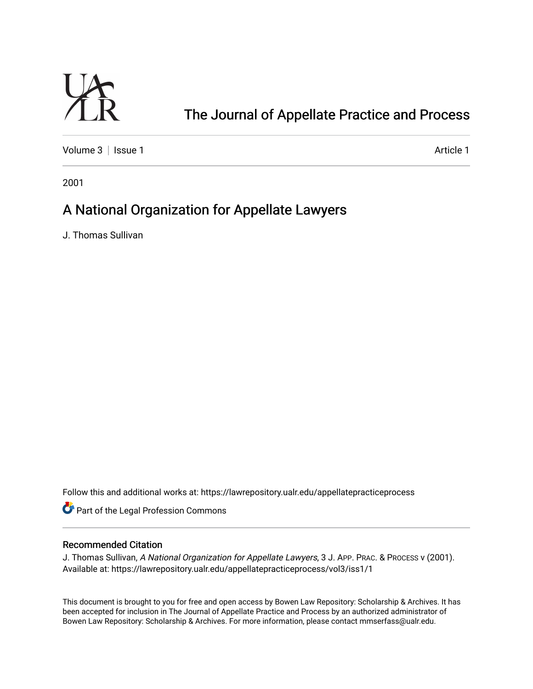

# [The Journal of Appellate Practice and Process](https://lawrepository.ualr.edu/appellatepracticeprocess)

[Volume 3](https://lawrepository.ualr.edu/appellatepracticeprocess/vol3) | [Issue 1](https://lawrepository.ualr.edu/appellatepracticeprocess/vol3/iss1) Article 1

2001

## A National Organization for Appellate Lawyers

J. Thomas Sullivan

Follow this and additional works at: [https://lawrepository.ualr.edu/appellatepracticeprocess](https://lawrepository.ualr.edu/appellatepracticeprocess?utm_source=lawrepository.ualr.edu%2Fappellatepracticeprocess%2Fvol3%2Fiss1%2F1&utm_medium=PDF&utm_campaign=PDFCoverPages) 

**Part of the [Legal Profession Commons](http://network.bepress.com/hgg/discipline/1075?utm_source=lawrepository.ualr.edu%2Fappellatepracticeprocess%2Fvol3%2Fiss1%2F1&utm_medium=PDF&utm_campaign=PDFCoverPages)** 

### Recommended Citation

J. Thomas Sullivan, A National Organization for Appellate Lawyers, 3 J. APP. PRAC. & PROCESS v (2001). Available at: https://lawrepository.ualr.edu/appellatepracticeprocess/vol3/iss1/1

This document is brought to you for free and open access by [Bowen Law Repository: Scholarship & Archives.](macro%20site.link) It has been accepted for inclusion in The Journal of Appellate Practice and Process by an authorized administrator of Bowen Law Repository: Scholarship & Archives. For more information, please contact [mmserfass@ualr.edu.](mailto:mmserfass@ualr.edu)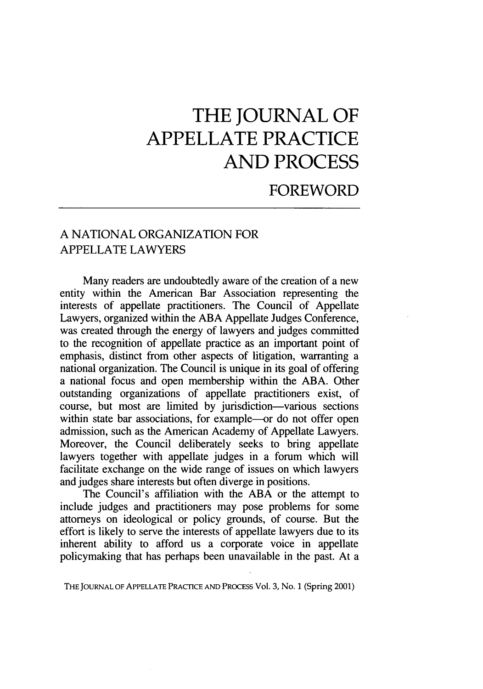# **THE JOURNAL OF APPELLATE PRACTICE AND PROCESS**

## FOREWORD

### A NATIONAL ORGANIZATION FOR APPELLATE LAWYERS

Many readers are undoubtedly aware of the creation of a new entity within the American Bar Association representing the interests of appellate practitioners. The Council of Appellate Lawyers, organized within the ABA Appellate Judges Conference, was created through the energy of lawyers and judges committed to the recognition of appellate practice as an important point of emphasis, distinct from other aspects of litigation, warranting a national organization. The Council is unique in its goal of offering a national focus and open membership within the ABA. Other outstanding organizations of appellate practitioners exist, of course, but most are limited by jurisdiction-various sections within state bar associations, for example-or do not offer open admission, such as the American Academy of Appellate Lawyers. Moreover, the Council deliberately seeks to bring appellate lawyers together with appellate judges in a forum which will facilitate exchange on the wide range of issues on which lawyers and judges share interests but often diverge in positions.

The Council's affiliation with the ABA or the attempt to include judges and practitioners may pose problems for some attorneys on ideological or policy grounds, of course. But the effort is likely to serve the interests of appellate lawyers due to its inherent ability to afford us a corporate voice in appellate policymaking that has perhaps been unavailable in the past. At a

THE **JOURNAL** OF APPELLATE PRACTICE AND **PROCESS** Vol. 3, No. 1 (Spring 2001)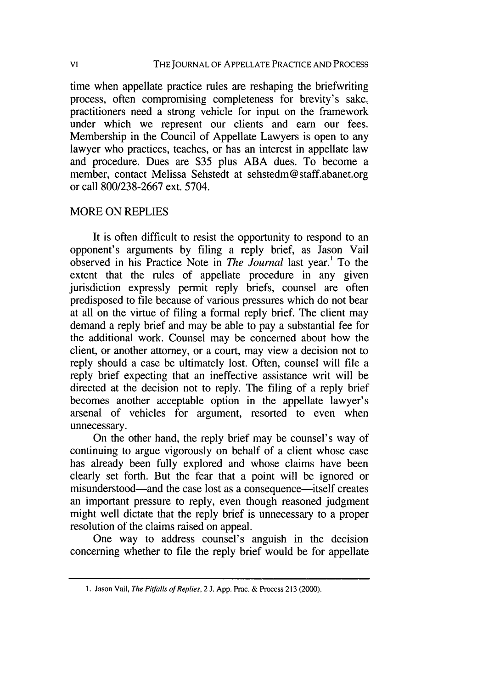time when appellate practice rules are reshaping the briefwriting process, often compromising completeness for brevity's sake, practitioners need a strong vehicle for input on the framework under which we represent our clients and earn our fees. Membership in the Council of Appellate Lawyers is open to any lawyer who practices, teaches, or has an interest in appellate law and procedure. Dues are \$35 plus ABA dues. To become a member, contact Melissa Sehstedt at sehstedm@staff.abanet.org or call 800/238-2667 ext. 5704.

#### MORE ON REPLIES

It is often difficult to resist the opportunity to respond to an opponent's arguments by filing a reply brief, as Jason Vail observed in his Practice Note in *The Journal* last year.' To the extent that the rules of appellate procedure in any given jurisdiction expressly permit reply briefs, counsel are often predisposed to file because of various pressures which do not bear at all on the virtue of filing a formal reply brief. The client may demand a reply brief and may be able to pay a substantial fee for the additional work. Counsel may be concerned about how the client, or another attorney, or a court, may view a decision not to reply should a case be ultimately lost. Often, counsel will file a reply brief expecting that an ineffective assistance writ will be directed at the decision not to reply. The filing of a reply brief becomes another acceptable option in the appellate lawyer's arsenal of vehicles for argument, resorted to even when unnecessary.

On the other hand, the reply brief may be counsel's way of continuing to argue vigorously on behalf of a client whose case has already been fully explored and whose claims have been clearly set forth. But the fear that a point will be ignored or misunderstood—and the case lost as a consequence—itself creates an important pressure to reply, even though reasoned judgment might well dictate that the reply brief is unnecessary to a proper resolution of the claims raised on appeal.

One way to address counsel's anguish in the decision concerning whether to file the reply brief would be for appellate

<sup>1.</sup> Jason Vail, *The Pitfalls of Replies,* 2 J. App. Prac. & Process 213 (2000).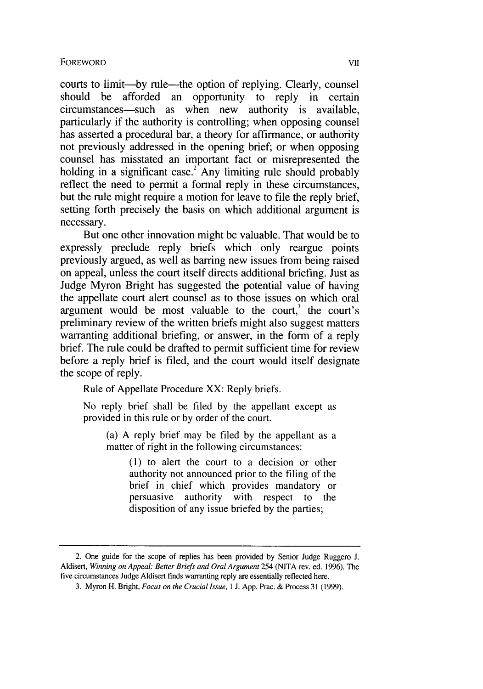courts to limit-by rule-the option of replying. Clearly, counsel should be afforded an opportunity to reply in certain circumstances—such as when new authority is available, particularly if the authority is controlling; when opposing counsel has asserted a procedural bar, a theory for affirmance, or authority not previously addressed in the opening brief; or when opposing counsel has misstated an important fact or misrepresented the holding in a significant case.<sup>2</sup> Any limiting rule should probably reflect the need to permit a formal reply in these circumstances, but the rule might require a motion for leave to file the reply brief, setting forth precisely the basis on which additional argument is necessary.

But one other innovation might be valuable. That would be to expressly preclude reply briefs which only reargue points previously argued, as well as barring new issues from being raised on appeal, unless the court itself directs additional briefing. Just as Judge Myron Bright has suggested the potential value of having the appellate court alert counsel as to those issues on which oral argument would be most valuable to the court.<sup>3</sup> the court's preliminary review of the written briefs might also suggest matters warranting additional briefing, or answer, in the form of a reply brief. The rule could be drafted to permit sufficient time for review before a reply brief is filed, and the court would itself designate the scope of reply.

Rule of Appellate Procedure XX: Reply briefs.

No reply brief shall be filed by the appellant except as provided in this rule or by order of the court.

(a) A reply brief may be filed by the appellant as a matter of right in the following circumstances:

> (1) to alert the court to a decision or other authority not announced prior to the filing of the brief in chief which provides mandatory or persuasive authority with respect to the disposition of any issue briefed by the parties;

<sup>2.</sup> One guide for the scope of replies has been provided by Senior Judge Ruggero J. Aldisert, *Winning on Appeal: Better Briefs and Oral Argument* 254 (NITA rev. ed. 1996). The five circumstances Judge Aldisert finds warranting reply are essentially reflected here.

<sup>3.</sup> Myron H. Bright, *Focus on the Crucial Issue, I* **J.** App. Prac. & Process **31** (1999).